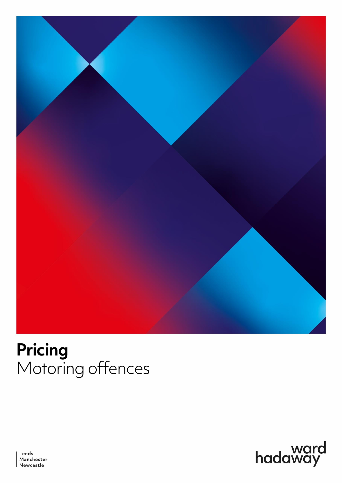

# **Pricing** Motoring offences



Leeds Manchester<br>Newcastle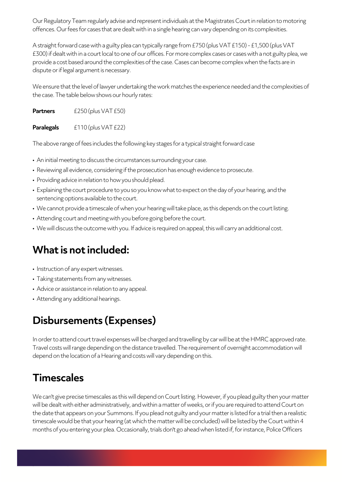Our Regulatory Team regularly advise and represent individuals at the Magistrates Court in relation to motoring offences. Our fees for cases that are dealt with in a single hearing can vary depending on its complexities.

A straight forward case with a guilty plea can typically range from £750 (plus VAT £150) - £1,500 (plus VAT £300) if dealt with in a court local to one of our offices. For more complex cases or cases with a not guilty plea, we provide a cost based around the complexities of the case. Cases can become complex when the facts are in dispute or if legal argument is necessary.

We ensure that the level of lawyer undertaking the work matches the experience needed and the complexities of the case. The table below shows our hourly rates:

**Partners** £250 (plus VAT £50)

**Paralegals**  $£110 (plus VAT £22)$ 

The above range of fees includes the following key stages for a typical straight forward case

- An initial meeting to discuss the circumstances surrounding your case.
- Reviewing all evidence, considering if the prosecution has enough evidence to prosecute.
- Providing advice in relation to how you should plead.
- Explaining the court procedure to you so you know what to expect on the day of your hearing, and the sentencing options available to the court.
- We cannot provide a timescale of when your hearing will take place, as this depends on the court listing.
- Attending court and meeting with you before going before the court.
- We will discuss the outcome with you. If advice is required on appeal, this will carry an additional cost.

### **What is not included:**

- Instruction of any expert witnesses.
- Taking statements from any witnesses.
- Advice or assistance in relation to any appeal.
- Attending any additional hearings.

### **Disbursements (Expenses)**

In order to attend court travel expenses will be charged and travelling by car will be at the HMRC approved rate. Travel costs will range depending on the distance travelled. The requirement of overnight accommodation will depend on the location of a Hearing and costs will vary depending on this.

#### **Timescales**

We can't give precise timescales as this will depend on Court listing. However, if you plead guilty then your matter will be dealt with either administratively, and within a matter of weeks, or if you are required to attend Court on the date that appears on your Summons. If you plead not guilty and your matter is listed for a trial then a realistic timescale would be that your hearing (at which the matter will be concluded) will be listed by the Court within 4 months of you entering your plea. Occasionally, trials don't go ahead when listed if, for instance, Police Officers